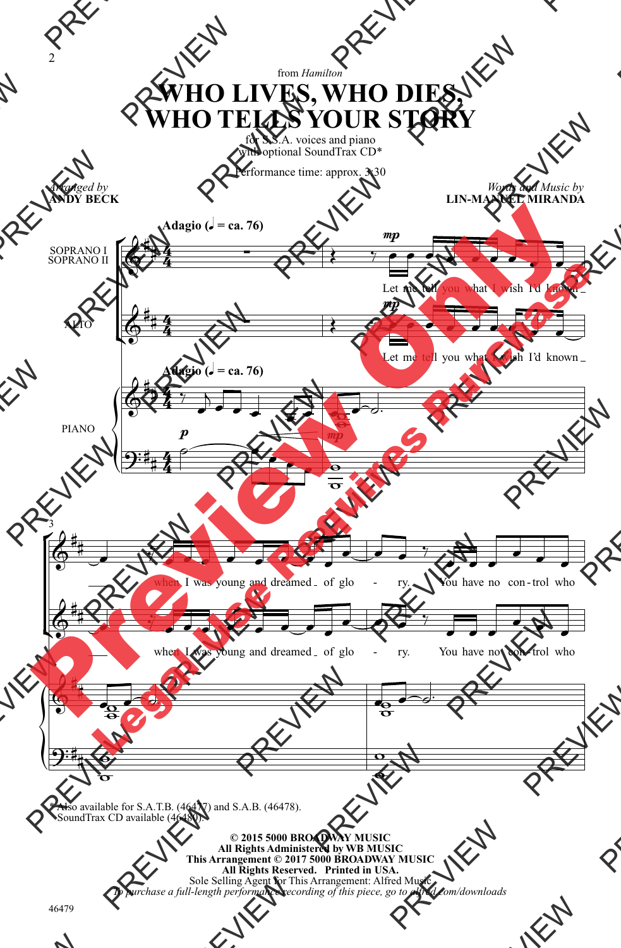## from *Hamilton* **WHO LIVES, WHO DIES, WHO TELLS YOUR STORY**

for S.S.A. voices and piano with optional SoundTrax CD\*

Performance time: approx. 3:30

*Arranged by* **ANDY BECK**

*Words and Music by* **LIN-MANUEL MIRANDA**

 $\mathsf{K}$ ľ  $\left\{ \begin{matrix} 1 \\ 1 \\ 2 \end{matrix} \right\}$  $\check{\mathsf{F}}$ Ľ  $\left\{\begin{matrix} 1 \\ 1 \\ 2 \end{matrix}\right\}$ Adagio ( $\sqrt{ }$  = ca. 76) Adagio ( $\sqrt{ }$  = ca. 76) SOPRANO I SOPRANO II ALTO PIANO 3 4  $\frac{4}{4}$ 4  $\frac{4}{4}$ 4  $\frac{4}{4}$ 4  $\frac{4}{4}$  $\frac{\partial}{\partial t}$  $\frac{1}{2}$ Let me tell you what I wish I'd known mp  $\delta^*$  $\frac{1}{4}$ et me mp l you what I wish I'd known  $\delta^*$  $\frac{1}{4}$  $\mathbf{\mathcal{P}}^{\mathbf{:t}_\sharp}$  $p \longrightarrow \boxed{mp}$  $\delta^*$  $\sharp$ I was young and dreamed of glo - ry. You have no con-trol who  $\frac{\partial}{\partial t}$  $\sharp$ when I was young and dreamed of glo - ry. You have no con-trol who  $\frac{1}{2}$ H  $\mathfrak{Z}^{\mathpunct{:}\sharp}_\sharp$  **TAN BAY**  $\frac{4}{\sqrt{2}}$  $\sqrt{2}$ **D**<br>e  $\frac{1}{2}$   $\overline{\mathbf{e}}$  $\overrightarrow{y}$  ,  $\overrightarrow{y}$  ,  $\overrightarrow{y}$  ,  $\overrightarrow{y}$  ,  $\overrightarrow{y}$  ,  $\overrightarrow{y}$  ,  $\overrightarrow{y}$  ,  $\overrightarrow{y}$  ,  $\overrightarrow{y}$  ,  $\overrightarrow{y}$ <u> 1959 - Johann Johann Barbott (</u>  $\overline{\mathbf{p}}$ **b**<br>O  $\frac{1}{2}$  $\frac{\partial}{\partial \alpha}$  $\overline{\phantom{0}}$  $\overline{\mathbf{o}}$  $\bullet$  $\overline{\bullet}$  $\overline{\mathbf{o}}$ **EXAMPLE PREVIEW PREVIEW PREVIEW PREVIEW PREVIEW PREVIEW PREVIEW PREVIEW PREVIEW PREVIEW PREVIEW PREVIEW PREVIEW PREVIEW PREVIEW PREVIEW PREVIEW PREVIEW PREVIEW PREVIEW PREVIEW PREVIEW PREVIEW PREVIEW PREVIEW PREVIEW PREV** WHO LIVES, WHO DIES,<br>
WHO TELLS YOUR STORY<br>
SURVEY TO PREVIEW PREVIEW PREVIEW PREVIEW PREVIEW PREVIEW PREVIEW PREVIEW PREVIEW PREVIEW PREVIEW PREVIEW PREVIEW PREVIEW PREVIEW PREVIEW PREVIEW PREVIEW PREVIEW PREVIEW PREVIEW WHO LIVES, WHO DIES, WHO TELLS YOUR STORY<br>
NEW TELLS YOUR STORY<br>
THE VEHICLE AND TRILL OF THE VEHICLE AND TRILL OF THE VEHICLE AND TRILL OF THE VEHICLE AND TRILL OF THE VEHICLE AND TRILL OF THE VEHICLE AND TRILL OF THE VEH WHO LIVES, WHO DIES, WHO LIVES, WHO DIE S.<br>
WHO TELLS YOUR STORY<br>
STATE CASE OF THE VEHICLE YOUR STORY<br>
THE VEHICLE YOUR STORY<br>
THE VEHICLE YOUR STATE OF THE VEHICLE YOUR PREVIEW PREVIEW PREVIEW PREVIEW PREVIEW PREVIEW PREVIEW PREVIEW PREVIEW WHO LIVES, WHO DLES, WHO DES, WHO DES, WHO DES, WHO DES, WHO DES, WHO DES, WHO DES, WHO DES, WHO DES, WHO DES, WHO DES, WHO DES, WHO DES, WHO DES, WHO DES, WHO DES, WHO DES, WHO DES, WHO DES, WHO DES, WHO DES, WHO DES, WHO PREVIEW PREVIEW PREVIEW PREVIEW PREVIEW PREVIEW PREVIEW PREVIEW PREVIEW PREVIEW PREVIEW PREVIEW PREVIEW PREVIEW  $\frac{A}{\sqrt{2}}$ <br>  $\frac{A}{\sqrt{2}}$ <br>  $\frac{A}{\sqrt{2}}$ <br>  $\frac{A}{\sqrt{2}}$ <br>  $\frac{A}{\sqrt{2}}$ <br>  $\frac{A}{\sqrt{2}}$ <br>  $\frac{A}{\sqrt{2}}$ <br>  $\frac{A}{\sqrt{2}}$ <br>  $\frac{A}{\sqrt{2}}$ <br>  $\frac{A}{\sqrt{2}}$ <br>  $\frac{A}{\sqrt{2}}$ <br>  $\frac{A}{\sqrt{2}}$ <br>  $\frac{A}{\sqrt{2}}$ <br>  $\frac{A}{\sqrt{2}}$ <br>  $\frac{A}{\sqrt{2}}$ <br>  $\frac{A}{\sqrt{2}}$  $p(t) = \text{ca. } 76$ <br>
Noting and dreamed of glo  $\cdot$  ry. You have no con-trol who<br>
shown and dreamed of glo  $\cdot$  ry. You have no con-trol who<br>
shown and dreamed of glo  $\cdot$  ry. You have no con-trol who<br>  $\frac{1}{2}$ <br>  $\frac{1}{2}$ <br> Predimed. of glo - ry. You have no con-trol who<br>treamed. of glo - ry. You have no con-trol who<br>treamed. of glo - ry. You have no con-trol who<br> $\frac{65}{20}$ <br> $\frac{67}{20}$ <br> $\frac{67}{20}$ <br> $\frac{67}{20}$ <br> $\frac{67}{200}$ <br> $\frac{67}{2000}$  BROA  $\begin{picture}(180,100) \put(10,10){\line(1,0){100}} \put(10,10){\line(1,0){100}} \put(10,10){\line(1,0){100}} \put(10,10){\line(1,0){100}} \put(10,10){\line(1,0){100}} \put(10,10){\line(1,0){100}} \put(10,10){\line(1,0){100}} \put(10,10){\line(1,0){100}} \put(10,10){\line(1,0){100}} \put(10,10){\line(1,0){100}} \put(10,1$  $\frac{1}{2}$ <br>  $\frac{1}{2}$ <br>  $\frac{1}{2}$ <br>  $\frac{1}{2}$ <br>  $\frac{1}{2}$ <br>  $\frac{1}{2}$ <br>  $\frac{1}{2}$ <br>  $\frac{1}{2}$ <br>  $\frac{1}{2}$ <br>  $\frac{1}{2}$ <br>  $\frac{1}{2}$ <br>  $\frac{1}{2}$ <br>  $\frac{1}{2}$ <br>  $\frac{1}{2}$ <br>  $\frac{1}{2}$ <br>  $\frac{1}{2}$ <br>  $\frac{1}{2}$ <br>  $\frac{1}{2}$ <br>  $\frac{1}{2}$ <br>  $\frac{1}{2}$ <br>

\* Also available for S.A.T.B. (46477) and S.A.B. (46478). SoundTrax CD available (46480).

> **© 2015 5000 BROADWAY MUSIC All Rights Administered by WB MUSIC This Arrangement © 2017 5000 BROADWAY MUSIC All Rights Reserved. Printed in USA.** Sole Selling Agent for This Arrangement: Alfred Music *To purchase a full-length performance recording of this piece, go to alfred.com/downloads*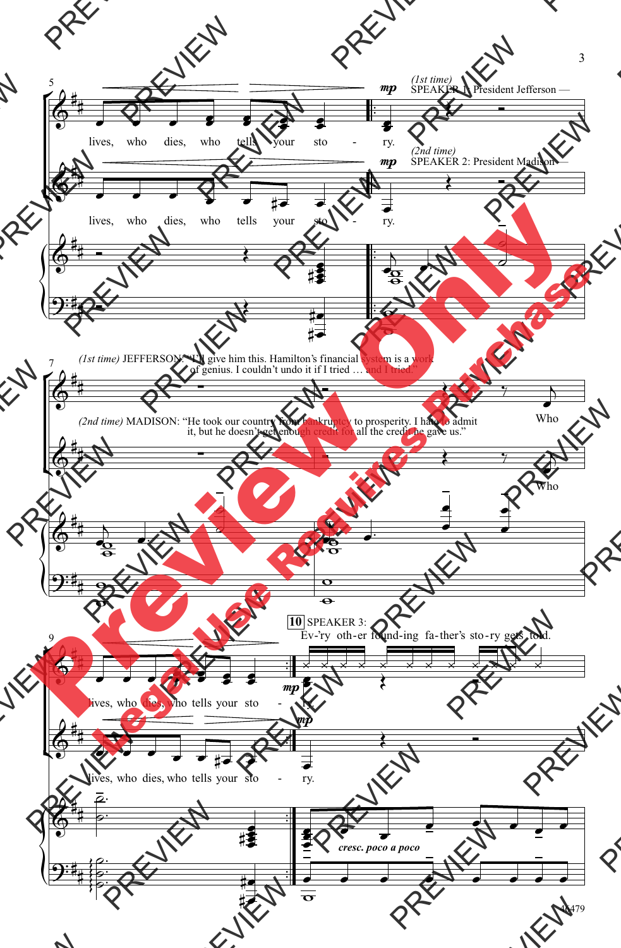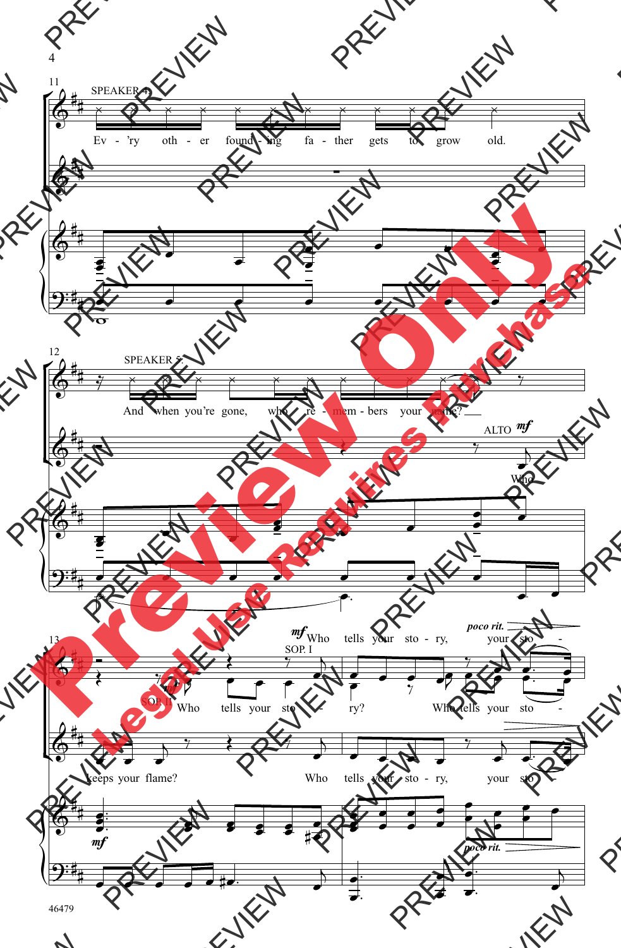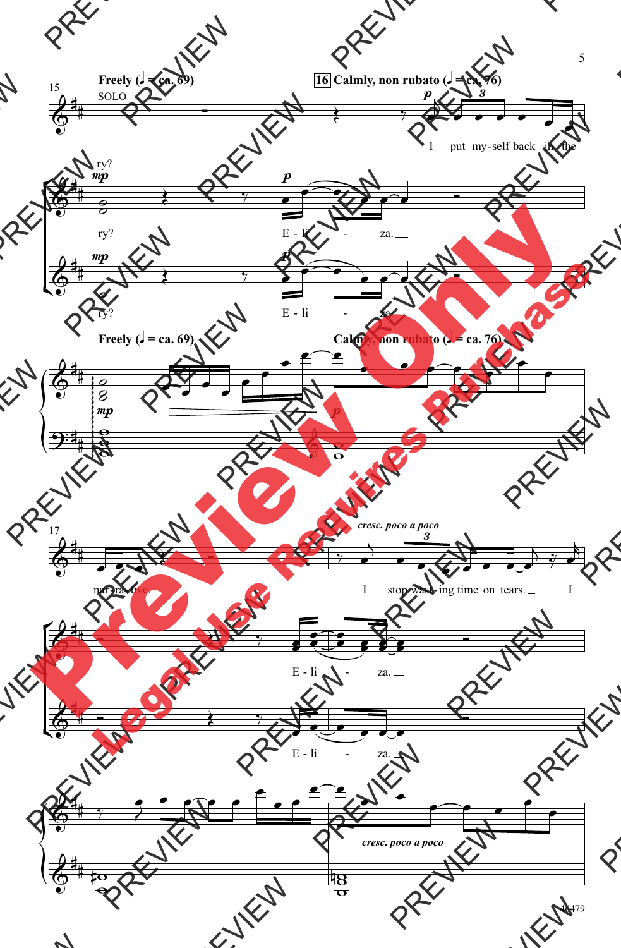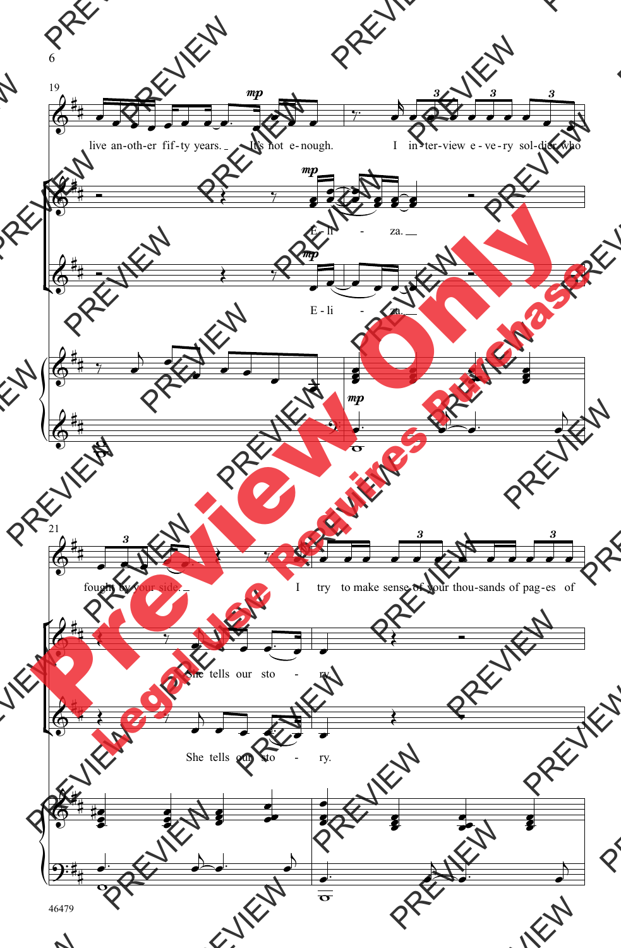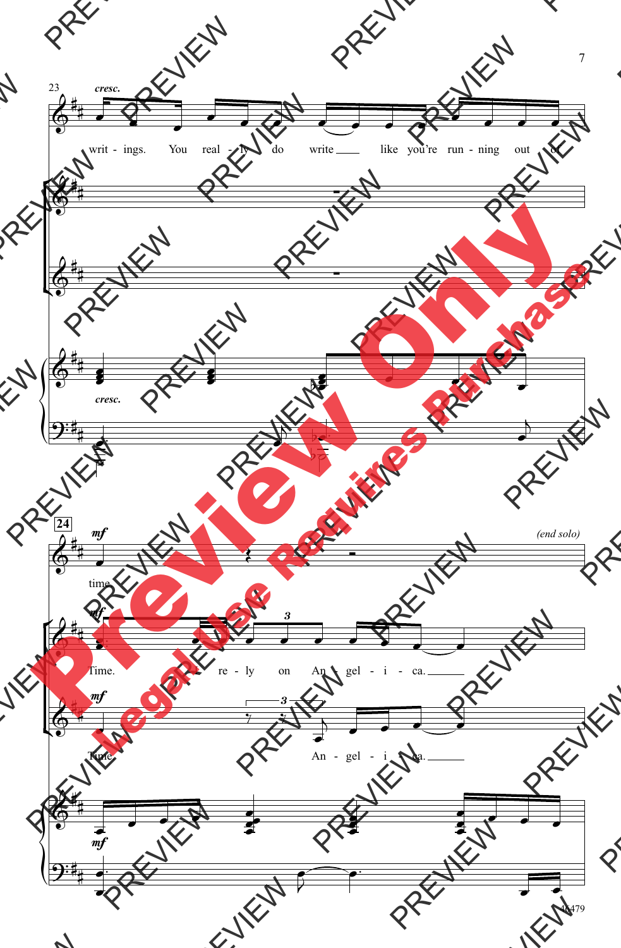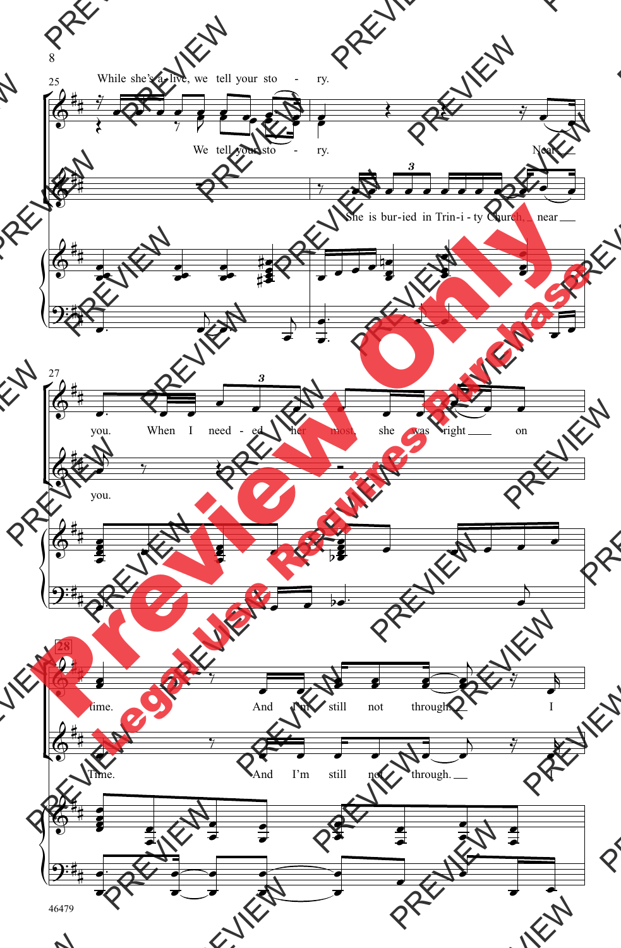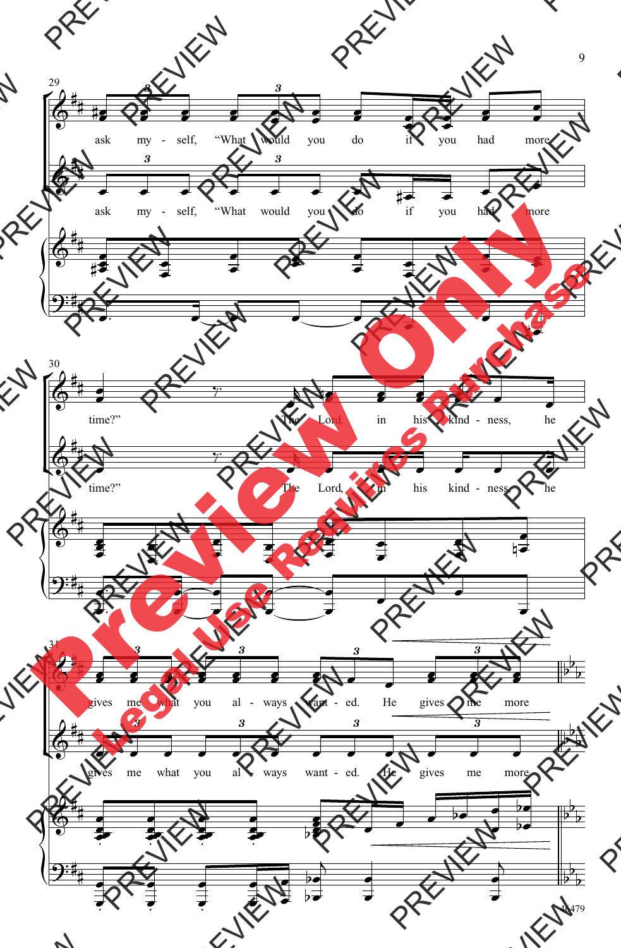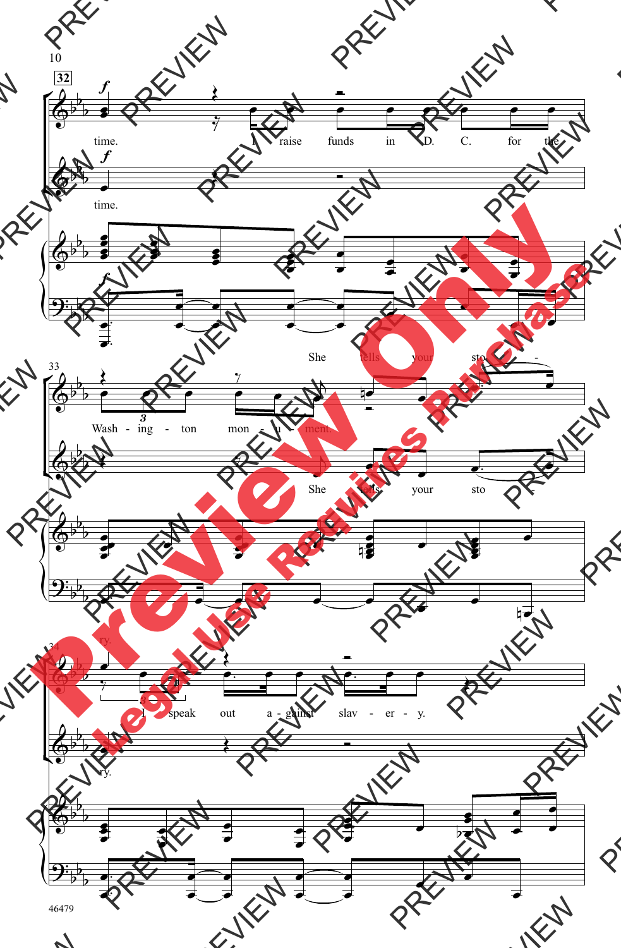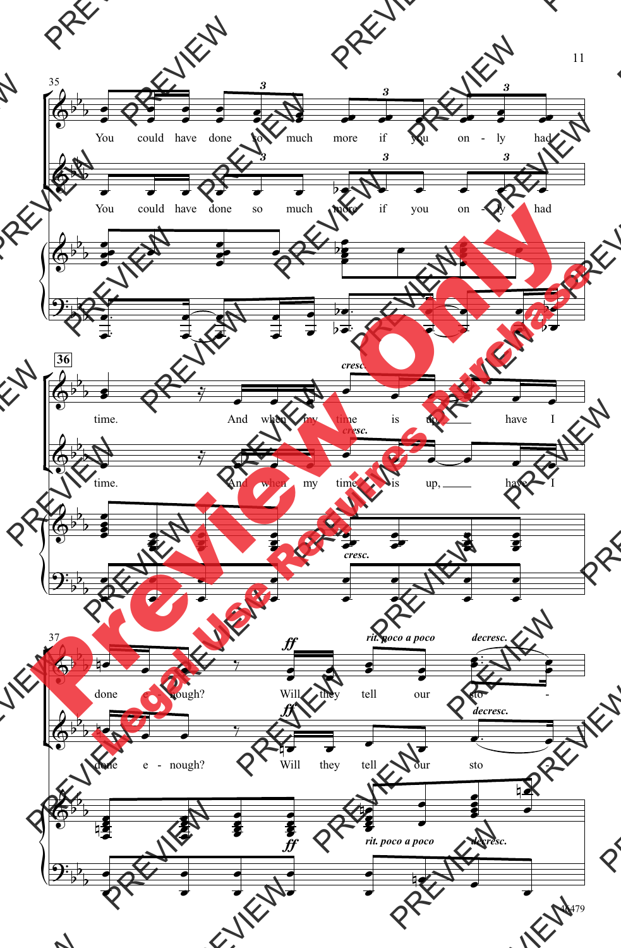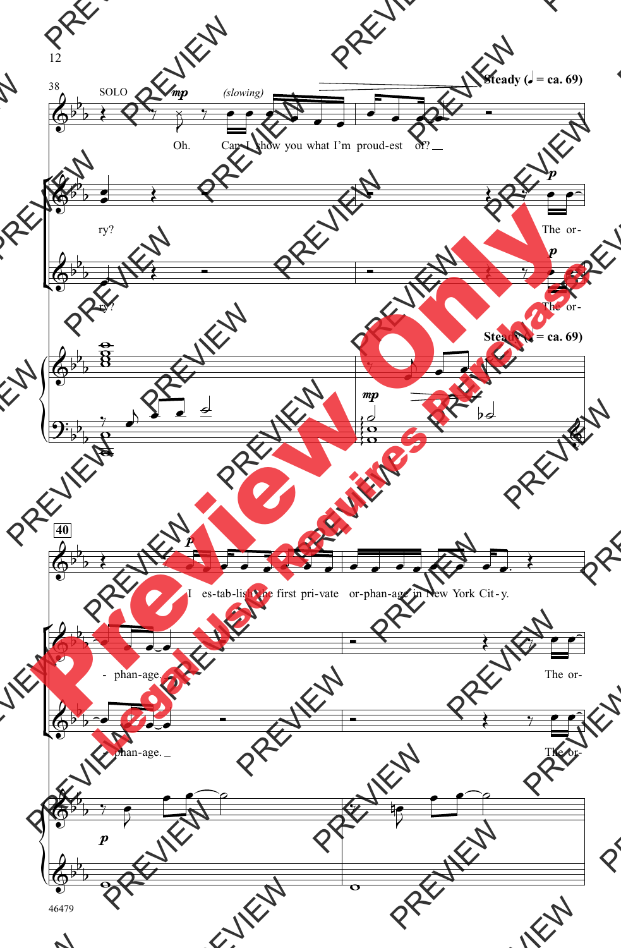$$
12\,
$$

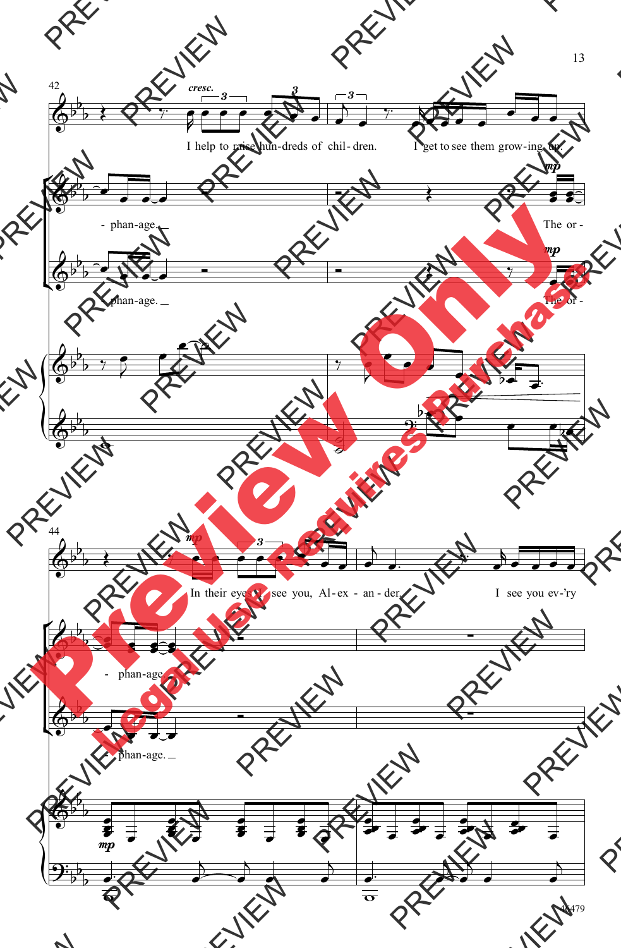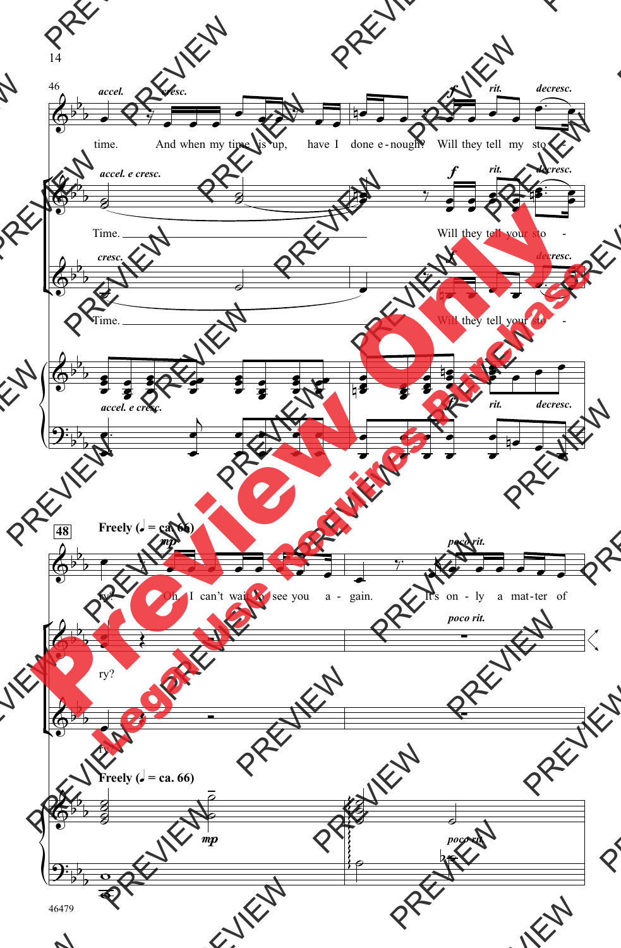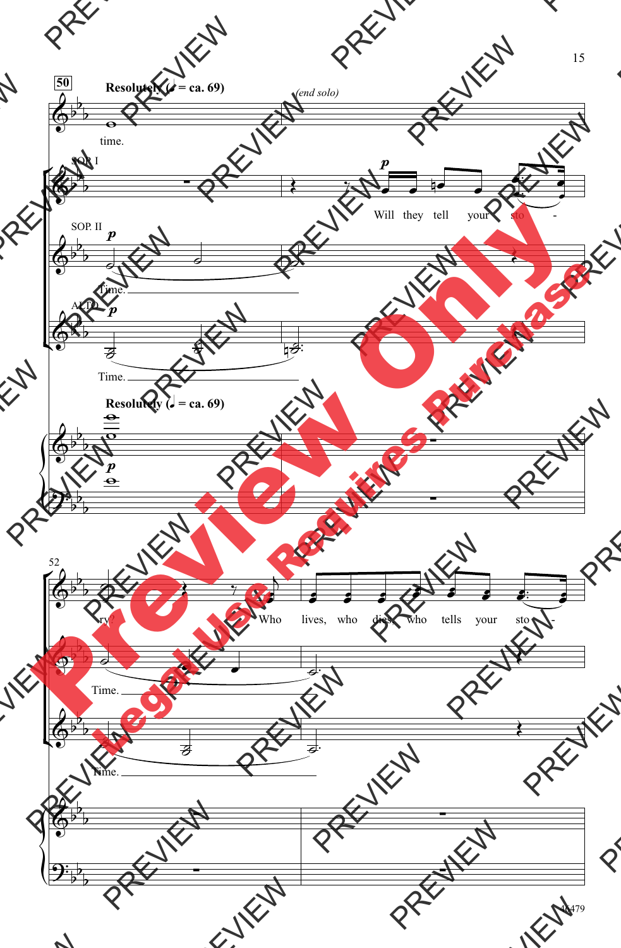